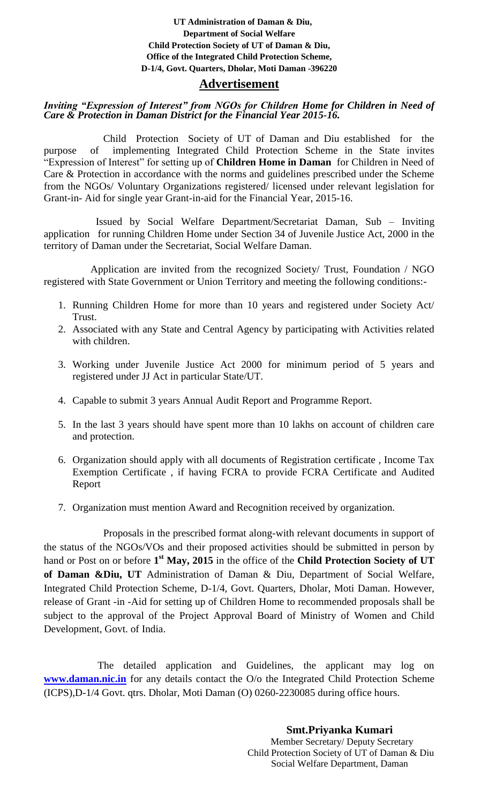## **UT Administration of Daman & Diu, Department of Social Welfare Child Protection Society of UT of Daman & Diu, Office of the Integrated Child Protection Scheme, D-1/4, Govt. Quarters, Dholar, Moti Daman -396220**

# **Advertisement**

# *Inviting "Expression of Interest" from NGOs for Children Home for Children in Need of Care & Protection in Daman District for the Financial Year 2015-16.*

 Child Protection Society of UT of Daman and Diu established for the purpose of implementing Integrated Child Protection Scheme in the State invites "Expression of Interest" for setting up of **Children Home in Daman** for Children in Need of Care & Protection in accordance with the norms and guidelines prescribed under the Scheme from the NGOs/ Voluntary Organizations registered/ licensed under relevant legislation for Grant-in- Aid for single year Grant-in-aid for the Financial Year, 2015-16.

 Issued by Social Welfare Department/Secretariat Daman, Sub – Inviting application for running Children Home under Section 34 of Juvenile Justice Act, 2000 in the territory of Daman under the Secretariat, Social Welfare Daman.

 Application are invited from the recognized Society/ Trust, Foundation / NGO registered with State Government or Union Territory and meeting the following conditions:-

- 1. Running Children Home for more than 10 years and registered under Society Act/ Trust.
- 2. Associated with any State and Central Agency by participating with Activities related with children.
- 3. Working under Juvenile Justice Act 2000 for minimum period of 5 years and registered under JJ Act in particular State/UT.
- 4. Capable to submit 3 years Annual Audit Report and Programme Report.
- 5. In the last 3 years should have spent more than 10 lakhs on account of children care and protection.
- 6. Organization should apply with all documents of Registration certificate , Income Tax Exemption Certificate , if having FCRA to provide FCRA Certificate and Audited Report
- 7. Organization must mention Award and Recognition received by organization.

 Proposals in the prescribed format along-with relevant documents in support of the status of the NGOs/VOs and their proposed activities should be submitted in person by hand or Post on or before **1 st May, 2015** in the office of the **Child Protection Society of UT of Daman &Diu, UT** Administration of Daman & Diu, Department of Social Welfare, Integrated Child Protection Scheme, D-1/4, Govt. Quarters, Dholar, Moti Daman. However, release of Grant -in -Aid for setting up of Children Home to recommended proposals shall be subject to the approval of the Project Approval Board of Ministry of Women and Child Development, Govt. of India.

 The detailed application and Guidelines, the applicant may log on **[www.daman.nic.in](http://www.daman.nic.in/)** for any details contact the O/o the Integrated Child Protection Scheme (ICPS),D-1/4 Govt. qtrs. Dholar, Moti Daman (O) 0260-2230085 during office hours.

> **Smt.Priyanka Kumari** Member Secretary/ Deputy Secretary Child Protection Society of UT of Daman & Diu Social Welfare Department, Daman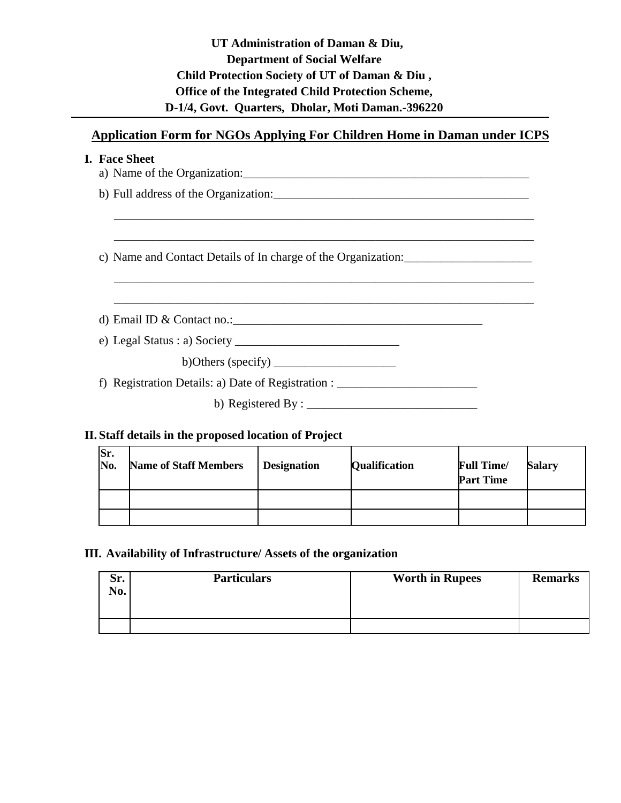| UT Administration of Daman & Diu,                 |
|---------------------------------------------------|
| <b>Department of Social Welfare</b>               |
| Child Protection Society of UT of Daman & Diu,    |
| Office of the Integrated Child Protection Scheme, |
| D-1/4, Govt. Quarters, Dholar, Moti Daman.-396220 |

# **Application Form for NGOs Applying For Children Home in Daman under ICPS**

| <b>I.  Face Sheet</b>                                                               |
|-------------------------------------------------------------------------------------|
|                                                                                     |
|                                                                                     |
| c) Name and Contact Details of In charge of the Organization:                       |
|                                                                                     |
| d) Email ID & Contact no.: $\qquad \qquad$                                          |
|                                                                                     |
| b)Others (specify) $\frac{1}{\sqrt{1-\frac{1}{2}}}\left  \frac{f(x)}{f(x)} \right $ |
| f) Registration Details: a) Date of Registration : _____________________________    |
| b) Registered By : $\frac{1}{2}$                                                    |
|                                                                                     |

# **II. Staff details in the proposed location of Project**

| Sr.<br>No. | <b>Name of Staff Members</b> | <b>Designation</b> | <b>Qualification</b> | <b>Full Time/</b><br><b>Part Time</b> | Salary |
|------------|------------------------------|--------------------|----------------------|---------------------------------------|--------|
|            |                              |                    |                      |                                       |        |
|            |                              |                    |                      |                                       |        |

# **III. Availability of Infrastructure/ Assets of the organization**

| Sr.<br>No. | <b>Particulars</b> | <b>Worth in Rupees</b> | <b>Remarks</b> |
|------------|--------------------|------------------------|----------------|
|            |                    |                        |                |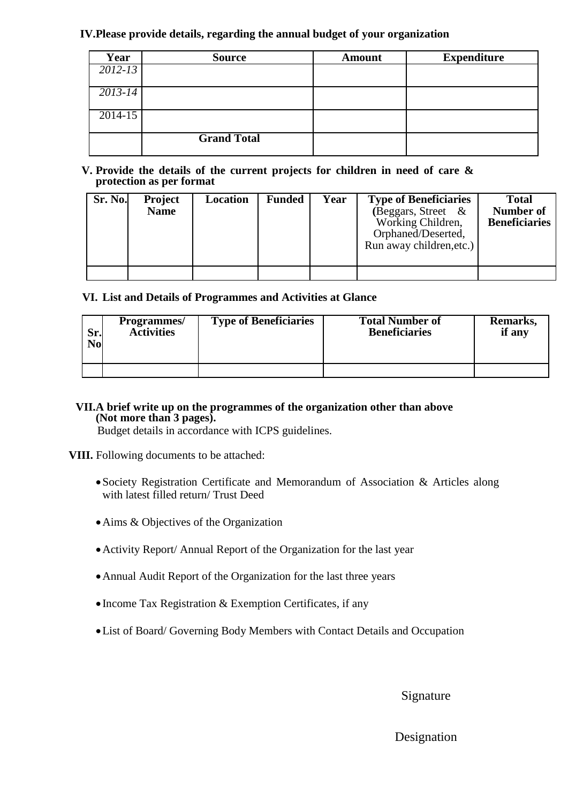### **IV.Please provide details, regarding the annual budget of your organization**

| Year        | <b>Source</b>      | <b>Amount</b> | <b>Expenditure</b> |
|-------------|--------------------|---------------|--------------------|
| $2012 - 13$ |                    |               |                    |
| $2013 - 14$ |                    |               |                    |
| $2014 - 15$ |                    |               |                    |
|             |                    |               |                    |
|             | <b>Grand Total</b> |               |                    |

#### **V. Provide the details of the current projects for children in need of care & protection as per format**

| Sr. No. | <b>Project</b><br><b>Name</b> | Location | <b>Funded</b> | Year | <b>Type of Beneficiaries</b><br>(Beggars, Street &<br>Working Children,<br>Orphaned/Deserted,<br>Run away children, etc.) | <b>Total</b><br><b>Number of</b><br><b>Beneficiaries</b> |
|---------|-------------------------------|----------|---------------|------|---------------------------------------------------------------------------------------------------------------------------|----------------------------------------------------------|
|         |                               |          |               |      |                                                                                                                           |                                                          |

## **VI. List and Details of Programmes and Activities at Glance**

| Sr. | <b>Programmes</b> / | <b>Type of Beneficiaries</b> | <b>Total Number of</b> | Remarks, |
|-----|---------------------|------------------------------|------------------------|----------|
| No  | <b>Activities</b>   |                              | <b>Beneficiaries</b>   | if any   |
|     |                     |                              |                        |          |

# **VII.A brief write up on the programmes of the organization other than above (Not more than 3 pages).**

Budget details in accordance with ICPS guidelines.

**VIII.** Following documents to be attached:

- Society Registration Certificate and Memorandum of Association & Articles along with latest filled return/ Trust Deed
- Aims & Objectives of the Organization
- Activity Report/ Annual Report of the Organization for the last year
- Annual Audit Report of the Organization for the last three years
- $\bullet$  Income Tax Registration & Exemption Certificates, if any
- List of Board/ Governing Body Members with Contact Details and Occupation

## Signature

## Designation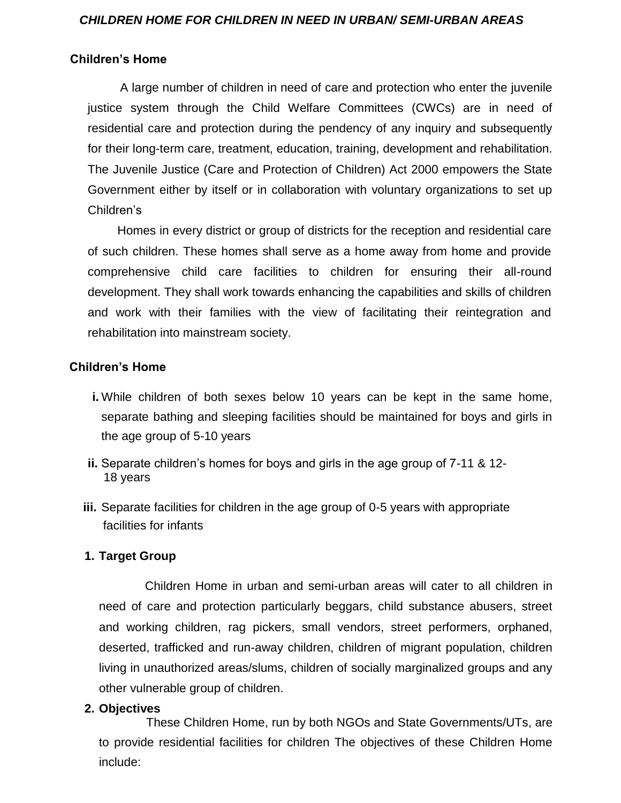#### *CHILDREN HOME FOR CHILDREN IN NEED IN URBAN/ SEMI-URBAN AREAS*

### **Children's Home**

 A large number of children in need of care and protection who enter the juvenile justice system through the Child Welfare Committees (CWCs) are in need of residential care and protection during the pendency of any inquiry and subsequently for their long-term care, treatment, education, training, development and rehabilitation. The Juvenile Justice (Care and Protection of Children) Act 2000 empowers the State Government either by itself or in collaboration with voluntary organizations to set up Children's

 Homes in every district or group of districts for the reception and residential care of such children. These homes shall serve as a home away from home and provide comprehensive child care facilities to children for ensuring their all-round development. They shall work towards enhancing the capabilities and skills of children and work with their families with the view of facilitating their reintegration and rehabilitation into mainstream society.

## **Children's Home**

- **i.** While children of both sexes below 10 years can be kept in the same home, separate bathing and sleeping facilities should be maintained for boys and girls in the age group of 5-10 years
- **ii.** Separate children's homes for boys and girls in the age group of 7-11 & 12- 18 years
- **iii.** Separate facilities for children in the age group of 0-5 years with appropriate facilities for infants

## **1. Target Group**

 Children Home in urban and semi-urban areas will cater to all children in need of care and protection particularly beggars, child substance abusers, street and working children, rag pickers, small vendors, street performers, orphaned, deserted, trafficked and run-away children, children of migrant population, children living in unauthorized areas/slums, children of socially marginalized groups and any other vulnerable group of children.

## **2. Objectives**

 These Children Home, run by both NGOs and State Governments/UTs, are to provide residential facilities for children The objectives of these Children Home include: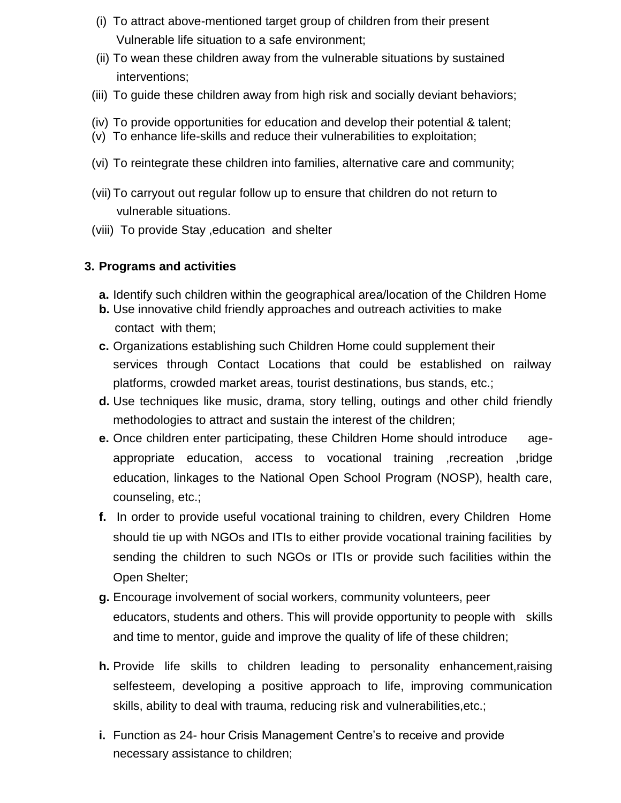- (i) To attract above-mentioned target group of children from their present Vulnerable life situation to a safe environment;
- (ii) To wean these children away from the vulnerable situations by sustained interventions;
- (iii) To guide these children away from high risk and socially deviant behaviors;
- (iv) To provide opportunities for education and develop their potential & talent;
- (v) To enhance life-skills and reduce their vulnerabilities to exploitation;
- (vi) To reintegrate these children into families, alternative care and community;
- (vii) To carryout out regular follow up to ensure that children do not return to vulnerable situations.
- (viii) To provide Stay ,education and shelter

# **3. Programs and activities**

- **a.** Identify such children within the geographical area/location of the Children Home
- **b.** Use innovative child friendly approaches and outreach activities to make contact with them;
- **c.** Organizations establishing such Children Home could supplement their services through Contact Locations that could be established on railway platforms, crowded market areas, tourist destinations, bus stands, etc.;
- **d.** Use techniques like music, drama, story telling, outings and other child friendly methodologies to attract and sustain the interest of the children;
- **e.** Once children enter participating, these Children Home should introduce ageappropriate education, access to vocational training ,recreation ,bridge education, linkages to the National Open School Program (NOSP), health care, counseling, etc.;
- **f.** In order to provide useful vocational training to children, every Children Home should tie up with NGOs and ITIs to either provide vocational training facilities by sending the children to such NGOs or ITIs or provide such facilities within the Open Shelter;
- **g.** Encourage involvement of social workers, community volunteers, peer educators, students and others. This will provide opportunity to people with skills and time to mentor, guide and improve the quality of life of these children;
- **h.** Provide life skills to children leading to personality enhancement,raising selfesteem, developing a positive approach to life, improving communication skills, ability to deal with trauma, reducing risk and vulnerabilities,etc.;
- **i.** Function as 24- hour Crisis Management Centre's to receive and provide necessary assistance to children;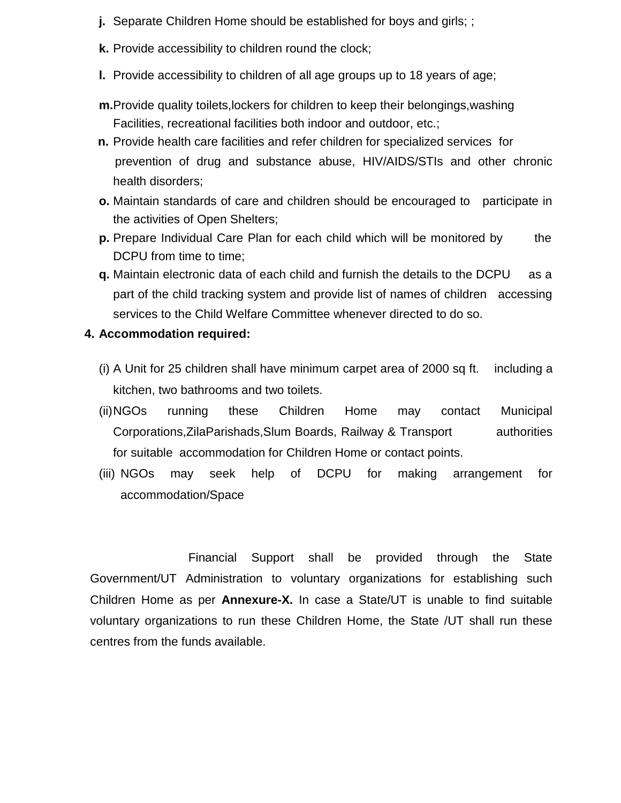- **j.** Separate Children Home should be established for boys and girls; ;
- **k.** Provide accessibility to children round the clock;
- **l.** Provide accessibility to children of all age groups up to 18 years of age;
- **m.**Provide quality toilets,lockers for children to keep their belongings,washing Facilities, recreational facilities both indoor and outdoor, etc.;
- **n.** Provide health care facilities and refer children for specialized services for prevention of drug and substance abuse, HIV/AIDS/STIs and other chronic health disorders;
- **o.** Maintain standards of care and children should be encouraged to participate in the activities of Open Shelters;
- **p.** Prepare Individual Care Plan for each child which will be monitored by the DCPU from time to time;
- **q.** Maintain electronic data of each child and furnish the details to the DCPU as a part of the child tracking system and provide list of names of children accessing services to the Child Welfare Committee whenever directed to do so.

# **4. Accommodation required:**

- (i) A Unit for 25 children shall have minimum carpet area of 2000 sq ft. including a kitchen, two bathrooms and two toilets.
- (ii)NGOs running these Children Home may contact Municipal Corporations,ZilaParishads,Slum Boards, Railway & Transport authorities for suitable accommodation for Children Home or contact points.
- (iii) NGOs may seek help of DCPU for making arrangement for accommodation/Space

 Financial Support shall be provided through the State Government/UT Administration to voluntary organizations for establishing such Children Home as per **Annexure-X.** In case a State/UT is unable to find suitable voluntary organizations to run these Children Home, the State /UT shall run these centres from the funds available.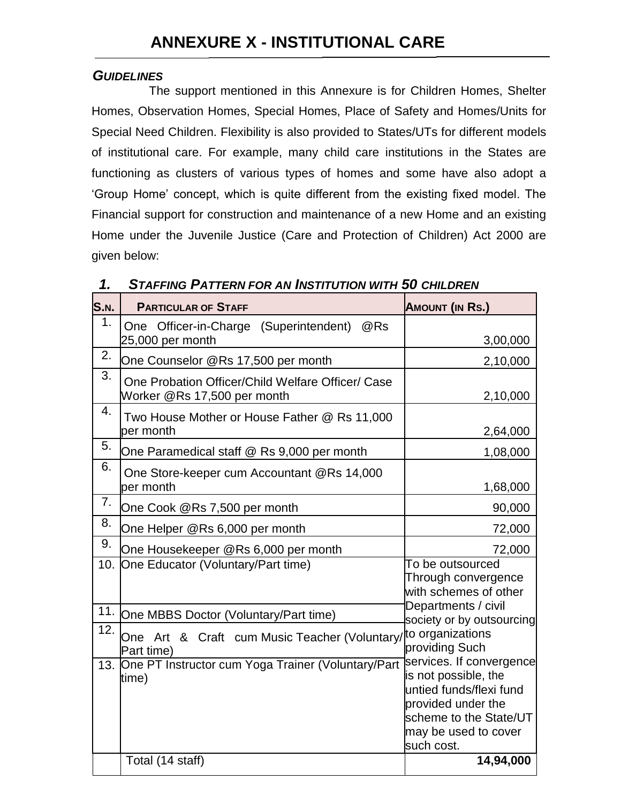# *GUIDELINES*

 The support mentioned in this Annexure is for Children Homes, Shelter Homes, Observation Homes, Special Homes, Place of Safety and Homes/Units for Special Need Children. Flexibility is also provided to States/UTs for different models of institutional care. For example, many child care institutions in the States are functioning as clusters of various types of homes and some have also adopt a 'Group Home' concept, which is quite different from the existing fixed model. The Financial support for construction and maintenance of a new Home and an existing Home under the Juvenile Justice (Care and Protection of Children) Act 2000 are given below:

| ı.          | STAFFING PATTERN FOR AN INSTITUTION WITH 30 CHILDREN                             |                                                                                                                                                                   |  |  |
|-------------|----------------------------------------------------------------------------------|-------------------------------------------------------------------------------------------------------------------------------------------------------------------|--|--|
| <b>S.N.</b> | <b>PARTICULAR OF STAFF</b>                                                       | <b>AMOUNT (IN RS.)</b>                                                                                                                                            |  |  |
| 1.          | One Officer-in-Charge (Superintendent)<br>@Rs<br>25,000 per month                | 3,00,000                                                                                                                                                          |  |  |
| 2.          | One Counselor @Rs 17,500 per month                                               | 2,10,000                                                                                                                                                          |  |  |
| 3.          | One Probation Officer/Child Welfare Officer/ Case<br>Worker @Rs 17,500 per month | 2,10,000                                                                                                                                                          |  |  |
| 4.          | Two House Mother or House Father @ Rs 11,000<br>per month                        | 2,64,000                                                                                                                                                          |  |  |
| 5.          | One Paramedical staff @ Rs 9,000 per month                                       | 1,08,000                                                                                                                                                          |  |  |
| 6.          | One Store-keeper cum Accountant @Rs 14,000<br>per month                          | 1,68,000                                                                                                                                                          |  |  |
| 7.          | One Cook @Rs 7,500 per month                                                     | 90,000                                                                                                                                                            |  |  |
| 8.          | One Helper @Rs 6,000 per month                                                   | 72,000                                                                                                                                                            |  |  |
| 9.          | One Housekeeper @Rs 6,000 per month                                              | 72,000                                                                                                                                                            |  |  |
| 10.         | One Educator (Voluntary/Part time)                                               | To be outsourced<br>Through convergence<br>with schemes of other                                                                                                  |  |  |
| 11.         | One MBBS Doctor (Voluntary/Part time)                                            | Departments / civil<br>society or by outsourcing                                                                                                                  |  |  |
| 12.         | One Art & Craft cum Music Teacher (Voluntary/to organizations<br>Part time)      | providing Such                                                                                                                                                    |  |  |
| 13.         | One PT Instructor cum Yoga Trainer (Voluntary/Part<br>time)                      | services. If convergence<br>is not possible, the<br>untied funds/flexi fund<br>provided under the<br>scheme to the State/UT<br>may be used to cover<br>such cost. |  |  |
|             | Total (14 staff)                                                                 | 14,94,000                                                                                                                                                         |  |  |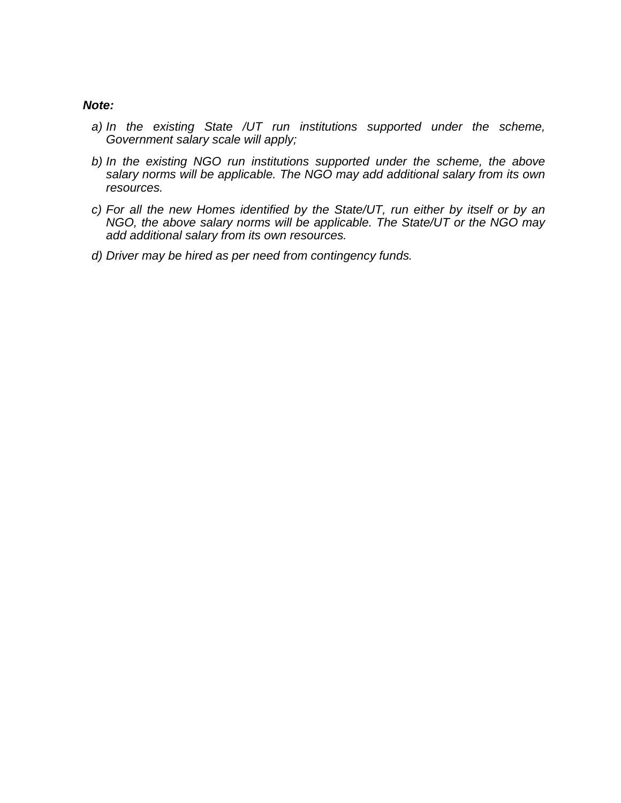#### *Note:*

- *a) In the existing State /UT run institutions supported under the scheme, Government salary scale will apply;*
- *b) In the existing NGO run institutions supported under the scheme, the above salary norms will be applicable. The NGO may add additional salary from its own resources.*
- *c) For all the new Homes identified by the State/UT, run either by itself or by an NGO, the above salary norms will be applicable. The State/UT or the NGO may add additional salary from its own resources.*
- *d) Driver may be hired as per need from contingency funds.*